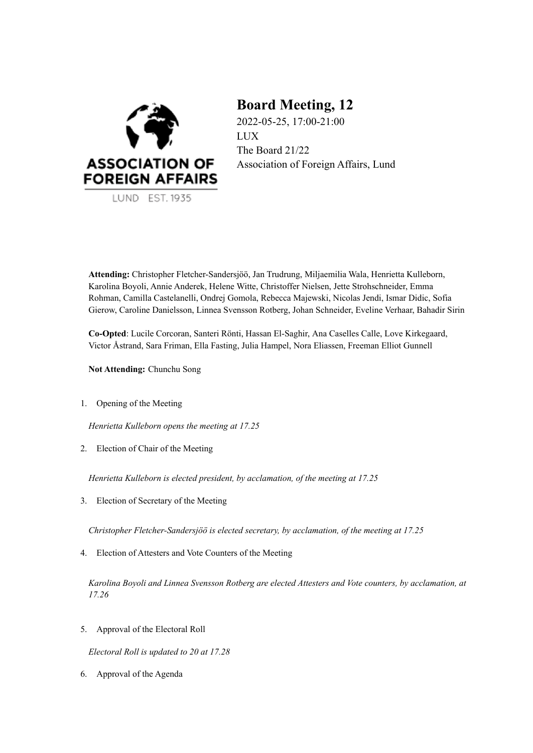

LUND EST. 1935

# **Board Meeting, 12**

2022-05-25, 17:00-21:00 LUX The Board 21/22 Association of Foreign Affairs, Lund

**Attending:** Christopher Fletcher-Sandersjöö, Jan Trudrung, Miljaemilia Wala, Henrietta Kulleborn, Karolina Boyoli, Annie Anderek, Helene Witte, Christoffer Nielsen, Jette Strohschneider, Emma Rohman, Camilla Castelanelli, Ondrej Gomola, Rebecca Majewski, Nicolas Jendi, Ismar Didic, Sofia Gierow, Caroline Danielsson, Linnea Svensson Rotberg, Johan Schneider, Eveline Verhaar, Bahadir Sirin

**Co-Opted**: Lucile Corcoran, Santeri Rönti, Hassan El-Saghir, Ana Caselles Calle, Love Kirkegaard, Victor Åstrand, Sara Friman, Ella Fasting, Julia Hampel, Nora Eliassen, Freeman Elliot Gunnell

**Not Attending:** Chunchu Song

1. Opening of the Meeting

*Henrietta Kulleborn opens the meeting at 17.25*

2. Election of Chair of the Meeting

*Henrietta Kulleborn is elected president, by acclamation, of the meeting at 17.25*

3. Election of Secretary of the Meeting

*Christopher Fletcher-Sandersjöö is elected secretary, by acclamation, of the meeting at 17.25*

4. Election of Attesters and Vote Counters of the Meeting

*Karolina Boyoli and Linnea Svensson Rotberg are elected Attesters and Vote counters, by acclamation, at 17.26*

5. Approval of the Electoral Roll

*Electoral Roll is updated to 20 at 17.28*

6. Approval of the Agenda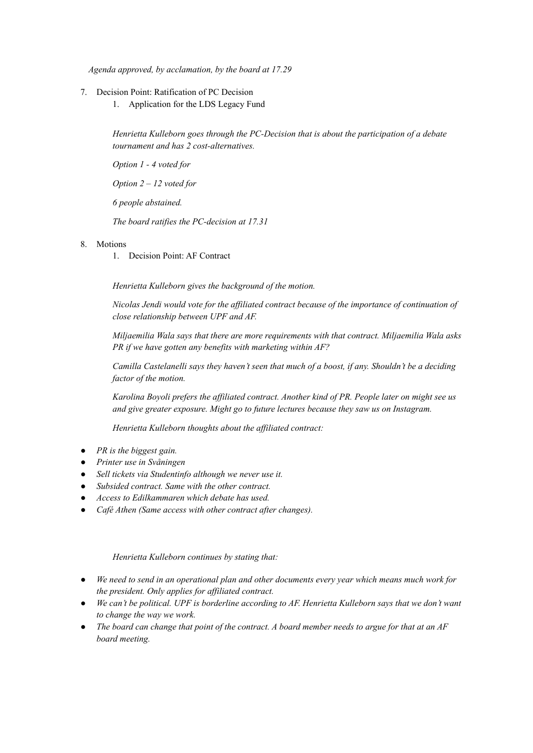*Agenda approved, by acclamation, by the board at 17.29*

- 7. Decision Point: Ratification of PC Decision
	- 1. Application for the LDS Legacy Fund

*Henrietta Kulleborn goes through the PC-Decision that is about the participation of a debate tournament and has 2 cost-alternatives.*

*Option 1 - 4 voted for*

*Option 2 – 12 voted for*

*6 people abstained.*

*The board ratifies the PC-decision at 17.31*

#### 8. Motions

1. Decision Point: AF Contract

*Henrietta Kulleborn gives the background of the motion.*

*Nicolas Jendi would vote for the affiliated contract because of the importance of continuation of close relationship between UPF and AF.*

*Miljaemilia Wala says that there are more requirements with that contract. Miljaemilia Wala asks PR if we have gotten any benefits with marketing within AF?*

*Camilla Castelanelli says they haven't seen that much of a boost, if any. Shouldn't be a deciding factor of the motion.*

*Karolina Boyoli prefers the affiliated contract. Another kind of PR. People later on might see us and give greater exposure. Might go to future lectures because they saw us on Instagram.*

*Henrietta Kulleborn thoughts about the affiliated contract:*

- *PR is the biggest gain.*
- *Printer use in Svåningen*
- *Sell tickets via Studentinfo although we never use it.*
- *Subsided contract. Same with the other contract.*
- *Access to Edilkammaren which debate has used.*
- *Café Athen (Same access with other contract after changes).*

#### *Henrietta Kulleborn continues by stating that:*

- *We need to send in an operational plan and other documents every year which means much work for the president. Only applies for affiliated contract.*
- *We can't be political. UPF is borderline according to AF. Henrietta Kulleborn says that we don't want to change the way we work.*
- The board can change that point of the contract. A board member needs to argue for that at an  $AF$ *board meeting.*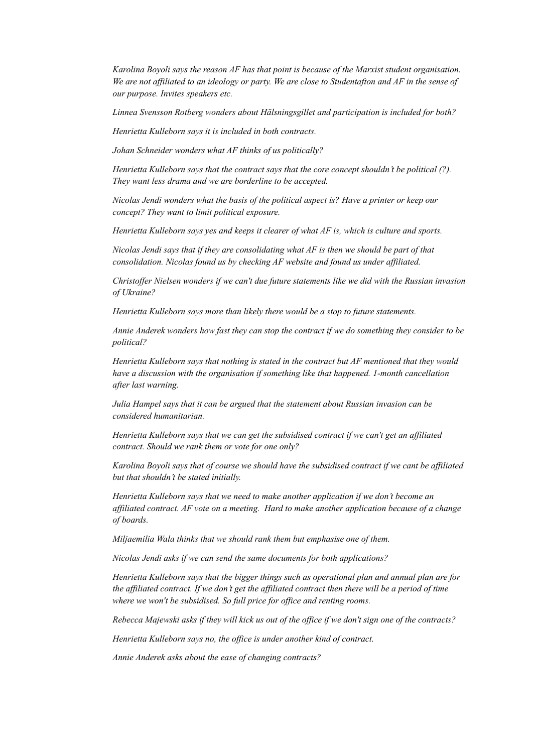*Karolina Boyoli says the reason AF has that point is because of the Marxist student organisation.* We are not affiliated to an ideology or party. We are close to Studentafton and  $AF$  in the sense of *our purpose. Invites speakers etc.*

*Linnea Svensson Rotberg wonders about Hälsningsgillet and participation is included for both?*

*Henrietta Kulleborn says it is included in both contracts.*

*Johan Schneider wonders what AF thinks of us politically?*

*Henrietta Kulleborn says that the contract says that the core concept shouldn't be political (?). They want less drama and we are borderline to be accepted.*

*Nicolas Jendi wonders what the basis of the political aspect is? Have a printer or keep our concept? They want to limit political exposure.*

*Henrietta Kulleborn says yes and keeps it clearer of what AF is, which is culture and sports.*

*Nicolas Jendi says that if they are consolidating what AF is then we should be part of that consolidation. Nicolas found us by checking AF website and found us under affiliated.*

*Christoffer Nielsen wonders if we can't due future statements like we did with the Russian invasion of Ukraine?*

*Henrietta Kulleborn says more than likely there would be a stop to future statements.*

*Annie Anderek wonders how fast they can stop the contract if we do something they consider to be political?*

*Henrietta Kulleborn says that nothing is stated in the contract but AF mentioned that they would have a discussion with the organisation if something like that happened. 1-month cancellation after last warning.*

*Julia Hampel says that it can be argued that the statement about Russian invasion can be considered humanitarian.*

*Henrietta Kulleborn says that we can get the subsidised contract if we can't get an affiliated contract. Should we rank them or vote for one only?*

*Karolina Boyoli says that of course we should have the subsidised contract if we cant be affiliated but that shouldn't be stated initially.*

*Henrietta Kulleborn says that we need to make another application if we don't become an affiliated contract. AF vote on a meeting. Hard to make another application because of a change of boards.*

*Miljaemilia Wala thinks that we should rank them but emphasise one of them.*

*Nicolas Jendi asks if we can send the same documents for both applications?*

*Henrietta Kulleborn says that the bigger things such as operational plan and annual plan are for* the affiliated contract. If we don't get the affiliated contract then there will be a period of time *where we won't be subsidised. So full price for office and renting rooms.*

Rebecca Majewski asks if they will kick us out of the office if we don't sign one of the contracts?

*Henrietta Kulleborn says no, the office is under another kind of contract.*

*Annie Anderek asks about the ease of changing contracts?*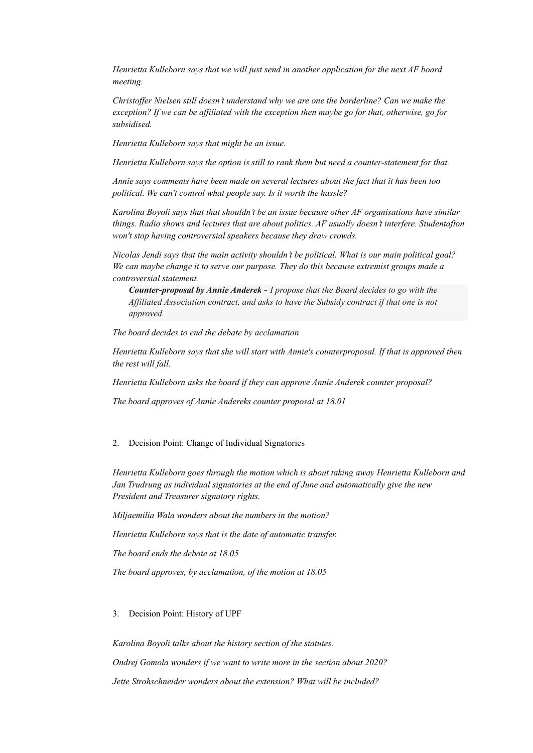*Henrietta Kulleborn says that we will just send in another application for the next AF board meeting.*

*Christoffer Nielsen still doesn't understand why we are one the borderline? Can we make the exception? If we can be affiliated with the exception then maybe go for that, otherwise, go for subsidised.*

*Henrietta Kulleborn says that might be an issue.*

*Henrietta Kulleborn says the option is still to rank them but need a counter-statement for that.*

*Annie says comments have been made on several lectures about the fact that it has been too political. We can't control what people say. Is it worth the hassle?*

*Karolina Boyoli says that that shouldn't be an issue because other AF organisations have similar things. Radio shows and lectures that are about politics. AF usually doesn't interfere. Studentafton won't stop having controversial speakers because they draw crowds.*

*Nicolas Jendi says that the main activity shouldn't be political. What is our main political goal? We can maybe change it to serve our purpose. They do this because extremist groups made a controversial statement.*

*Counter-proposal by Annie Anderek - I propose that the Board decides to go with the Affiliated Association contract, and asks to have the Subsidy contract if that one is not approved.*

*The board decides to end the debate by acclamation*

*Henrietta Kulleborn says that she will start with Annie's counterproposal. If that is approved then the rest will fall.*

*Henrietta Kulleborn asks the board if they can approve Annie Anderek counter proposal?*

*The board approves of Annie Andereks counter proposal at 18.01*

#### 2. Decision Point: Change of Individual Signatories

*Henrietta Kulleborn goes through the motion which is about taking away Henrietta Kulleborn and Jan Trudrung as individual signatories at the end of June and automatically give the new President and Treasurer signatory rights.*

*Miljaemilia Wala wonders about the numbers in the motion?*

*Henrietta Kulleborn says that is the date of automatic transfer.*

*The board ends the debate at 18.05*

*The board approves, by acclamation, of the motion at 18.05*

3. Decision Point: History of UPF

*Karolina Boyoli talks about the history section of the statutes. Ondrej Gomola wonders if we want to write more in the section about 2020? Jette Strohschneider wonders about the extension? What will be included?*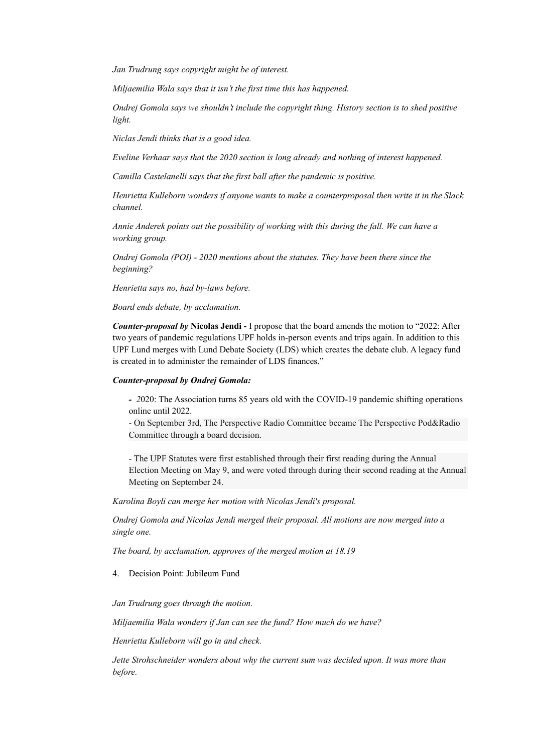*Jan Trudrung says copyright might be of interest.*

*Miljaemilia Wala says that it isn't the first time this has happened.*

*Ondrej Gomola says we shouldn't include the copyright thing. History section is to shed positive light.*

*Niclas Jendi thinks that is a good idea.*

*Eveline Verhaar says that the 2020 section is long already and nothing of interest happened.*

*Camilla Castelanelli says that the first ball after the pandemic is positive.*

*Henrietta Kulleborn wonders if anyone wants to make a counterproposal then write it in the Slack channel.*

*Annie Anderek points out the possibility of working with this during the fall. We can have a working group.*

*Ondrej Gomola (POI) - 2020 mentions about the statutes. They have been there since the beginning?*

*Henrietta says no, had by-laws before.*

*Board ends debate, by acclamation.*

*Counter-proposal by* **Nicolas Jendi -** I propose that the board amends the motion to "2022: After two years of pandemic regulations UPF holds in-person events and trips again. In addition to this UPF Lund merges with Lund Debate Society (LDS) which creates the debate club. A legacy fund is created in to administer the remainder of LDS finances."

#### *Counter-proposal by Ondrej Gomola:*

*- 2*020: The Association turns 85 years old with the COVID-19 pandemic shifting operations online until 2022.

- On September 3rd, The Perspective Radio Committee became The Perspective Pod&Radio Committee through a board decision.

- The UPF Statutes were first established through their first reading during the Annual Election Meeting on May 9, and were voted through during their second reading at the Annual Meeting on September 24.

*Karolina Boyli can merge her motion with Nicolas Jendi's proposal.*

*Ondrej Gomola and Nicolas Jendi merged their proposal. All motions are now merged into a single one.*

*The board, by acclamation, approves of the merged motion at 18.19*

4. Decision Point: Jubileum Fund

*Jan Trudrung goes through the motion.*

*Miljaemilia Wala wonders if Jan can see the fund? How much do we have?*

*Henrietta Kulleborn will go in and check.*

*Jette Strohschneider wonders about why the current sum was decided upon. It was more than before.*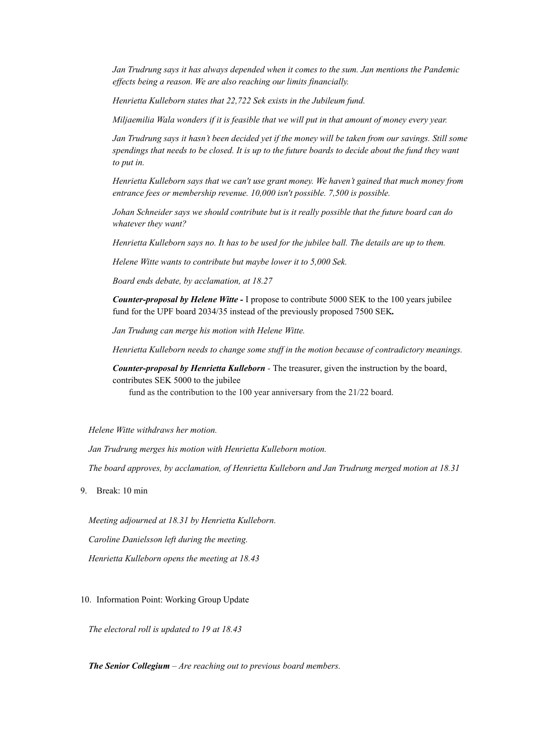*Jan Trudrung says it has always depended when it comes to the sum. Jan mentions the Pandemic effects being a reason. We are also reaching our limits financially.*

*Henrietta Kulleborn states that 22,722 Sek exists in the Jubileum fund.*

*Miljaemilia Wala wonders if it is feasible that we will put in that amount of money every year.*

Jan Trudrung says it hasn't been decided yet if the money will be taken from our savings. Still some spendings that needs to be closed. It is up to the future boards to decide about the fund they want *to put in.*

*Henrietta Kulleborn says that we can't use grant money. We haven't gained that much money from entrance fees or membership revenue. 10,000 isn't possible. 7,500 is possible.*

*Johan Schneider says we should contribute but is it really possible that the future board can do whatever they want?*

Henrietta Kulleborn says no. It has to be used for the jubilee ball. The details are up to them.

*Helene Witte wants to contribute but maybe lower it to 5,000 Sek.*

*Board ends debate, by acclamation, at 18.27*

*Counter-proposal by Helene Witte -* I propose to contribute 5000 SEK to the 100 years jubilee fund for the UPF board 2034/35 instead of the previously proposed 7500 SEK*.*

*Jan Trudung can merge his motion with Helene Witte.*

*Henrietta Kulleborn needs to change some stuff in the motion because of contradictory meanings.*

*Counter-proposal by Henrietta Kulleborn -* The treasurer, given the instruction by the board, contributes SEK 5000 to the jubilee

fund as the contribution to the 100 year anniversary from the 21/22 board.

*Helene Witte withdraws her motion.*

*Jan Trudrung merges his motion with Henrietta Kulleborn motion.*

*The board approves, by acclamation, of Henrietta Kulleborn and Jan Trudrung merged motion at 18.31*

9. Break: 10 min

*Meeting adjourned at 18.31 by Henrietta Kulleborn. Caroline Danielsson left during the meeting. Henrietta Kulleborn opens the meeting at 18.43*

10. Information Point: Working Group Update

*The electoral roll is updated to 19 at 18.43*

*The Senior Collegium – Are reaching out to previous board members.*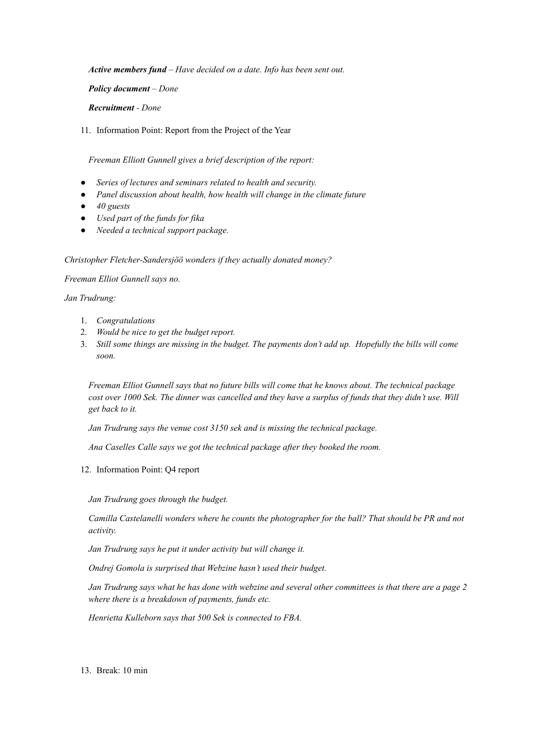*Active members fund – Have decided on a date. Info has been sent out.*

*Policy document – Done*

*Recruitment - Done*

11. Information Point: Report from the Project of the Year

*Freeman Elliott Gunnell gives a brief description of the report:*

- *Series of lectures and seminars related to health and security.*
- *Panel discussion about health, how health will change in the climate future*
- *40 guests*
- *Used part of the funds for fika*
- *Needed a technical support package.*

*Christopher Fletcher-Sandersjöö wonders if they actually donated money?*

*Freeman Elliot Gunnell says no.*

*Jan Trudrung:*

- 1. *Congratulations*
- 2. *Would be nice to get the budget report.*
- 3. Still some things are missing in the budget. The payments don't add up. Hopefully the bills will come *soon.*

*Freeman Elliot Gunnell says that no future bills will come that he knows about. The technical package* cost over 1000 Sek. The dinner was cancelled and they have a surplus of funds that they didn't use. Will *get back to it.*

*Jan Trudrung says the venue cost 3150 sek and is missing the technical package.*

*Ana Caselles Calle says we got the technical package after they booked the room.*

12. Information Point: Q4 report

*Jan Trudrung goes through the budget.*

*Camilla Castelanelli wonders where he counts the photographer for the ball? That should be PR and not activity.*

*Jan Trudrung says he put it under activity but will change it.*

*Ondrej Gomola is surprised that Webzine hasn't used their budget.*

Jan Trudrung says what he has done with webzine and several other committees is that there are a page 2 *where there is a breakdown of payments, funds etc.*

*Henrietta Kulleborn says that 500 Sek is connected to FBA.*

13. Break: 10 min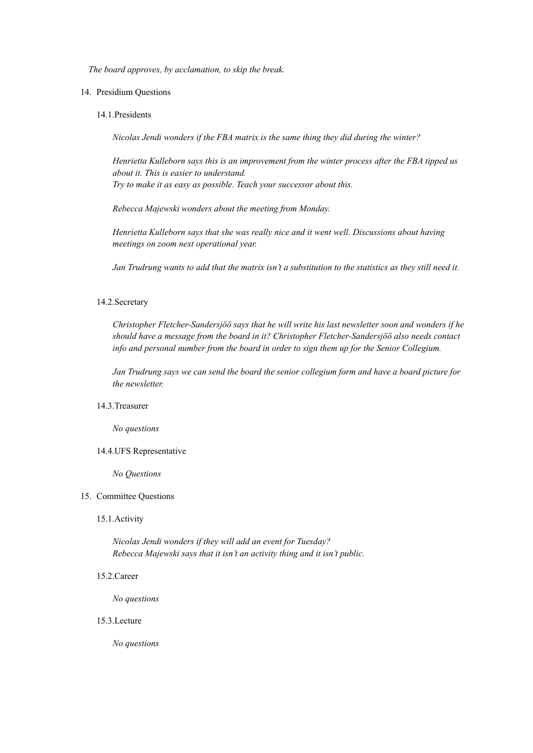*The board approves, by acclamation, to skip the break.*

- 14. Presidium Questions
	- 14.1.Presidents

*Nicolas Jendi wonders if the FBA matrix is the same thing they did during the winter?*

*Henrietta Kulleborn says this is an improvement from the winter process after the FBA tipped us about it. This is easier to understand. Try to make it as easy as possible. Teach your successor about this.*

*Rebecca Majewski wonders about the meeting from Monday.*

*Henrietta Kulleborn says that she was really nice and it went well. Discussions about having meetings on zoom next operational year.*

Jan Trudrung wants to add that the matrix isn't a substitution to the statistics as they still need it.

#### 14.2.Secretary

*Christopher Fletcher-Sandersjöö says that he will write his last newsletter soon and wonders if he should have a message from the board in it? Christopher Fletcher-Sandersjöö also needs contact info and personal number from the board in order to sign them up for the Senior Collegium.*

*Jan Trudrung says we can send the board the senior collegium form and have a board picture for the newsletter.*

#### 14.3.Treasurer

*No questions*

#### 14.4.UFS Representative

*No Questions*

#### 15. Committee Questions

#### 15.1.Activity

*Nicolas Jendi wonders if they will add an event for Tuesday? Rebecca Majewski says that it isn't an activity thing and it isn't public.*

#### 15.2.Career

*No questions*

## 15.3.Lecture

*No questions*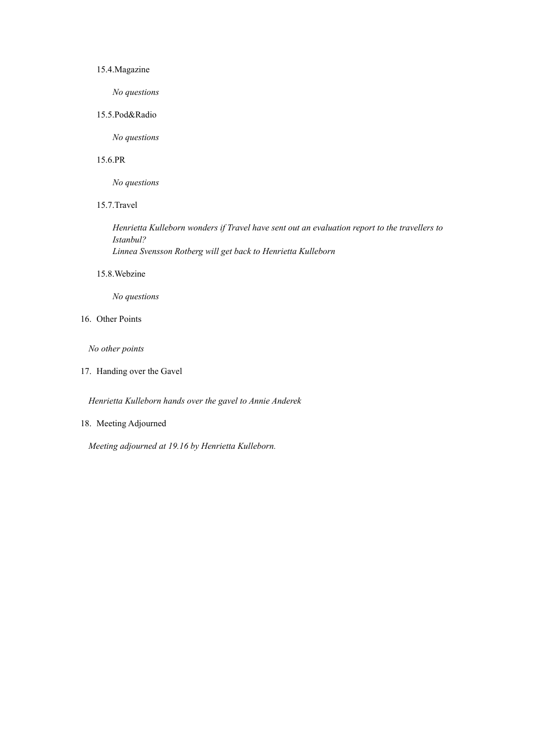#### 15.4.Magazine

*No questions*

15.5.Pod&Radio

*No questions*

#### 15.6.PR

*No questions*

# 15.7.Travel

*Henrietta Kulleborn wonders if Travel have sent out an evaluation report to the travellers to Istanbul? Linnea Svensson Rotberg will get back to Henrietta Kulleborn*

#### 15.8.Webzine

*No questions*

16. Other Points

*No other points*

17. Handing over the Gavel

*Henrietta Kulleborn hands over the gavel to Annie Anderek*

## 18. Meeting Adjourned

*Meeting adjourned at 19.16 by Henrietta Kulleborn.*